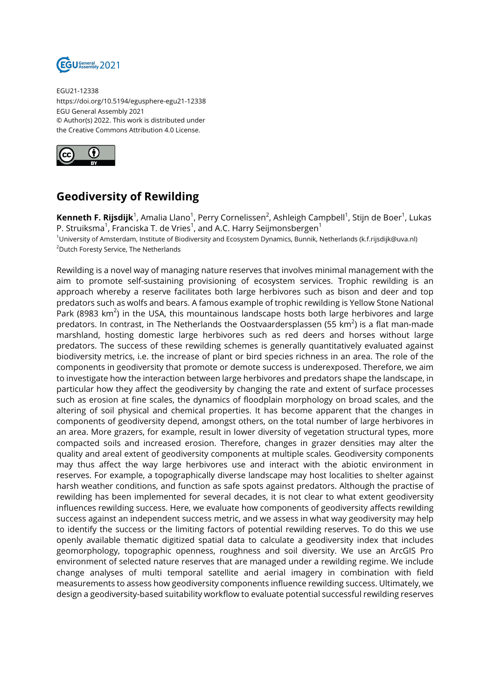

EGU21-12338 https://doi.org/10.5194/egusphere-egu21-12338 EGU General Assembly 2021 © Author(s) 2022. This work is distributed under the Creative Commons Attribution 4.0 License.



## **Geodiversity of Rewilding**

**Kenneth F. Rijsdijk**<sup>1</sup>, Amalia Llano<sup>1</sup>, Perry Cornelissen<sup>2</sup>, Ashleigh Campbell<sup>1</sup>, Stijn de Boer<sup>1</sup>, Lukas P. Struiksma $^1$ , Franciska T. de Vries $^1$ , and A.C. Harry Seijmonsbergen $^1$ <sup>1</sup>University of Amsterdam, Institute of Biodiversity and Ecosystem Dynamics, Bunnik, Netherlands (k.f.rijsdijk@uva.nl) <sup>2</sup>Dutch Foresty Service, The Netherlands

Rewilding is a novel way of managing nature reserves that involves minimal management with the aim to promote self-sustaining provisioning of ecosystem services. Trophic rewilding is an approach whereby a reserve facilitates both large herbivores such as bison and deer and top predators such as wolfs and bears. A famous example of trophic rewilding is Yellow Stone National Park (8983  $km^2$ ) in the USA, this mountainous landscape hosts both large herbivores and large predators. In contrast, in The Netherlands the Oostvaardersplassen (55 km $^2$ ) is a flat man-made marshland, hosting domestic large herbivores such as red deers and horses without large predators. The success of these rewilding schemes is generally quantitatively evaluated against biodiversity metrics, i.e. the increase of plant or bird species richness in an area. The role of the components in geodiversity that promote or demote success is underexposed. Therefore, we aim to investigate how the interaction between large herbivores and predators shape the landscape, in particular how they affect the geodiversity by changing the rate and extent of surface processes such as erosion at fine scales, the dynamics of floodplain morphology on broad scales, and the altering of soil physical and chemical properties. It has become apparent that the changes in components of geodiversity depend, amongst others, on the total number of large herbivores in an area. More grazers, for example, result in lower diversity of vegetation structural types, more compacted soils and increased erosion. Therefore, changes in grazer densities may alter the quality and areal extent of geodiversity components at multiple scales. Geodiversity components may thus affect the way large herbivores use and interact with the abiotic environment in reserves. For example, a topographically diverse landscape may host localities to shelter against harsh weather conditions, and function as safe spots against predators. Although the practise of rewilding has been implemented for several decades, it is not clear to what extent geodiversity influences rewilding success. Here, we evaluate how components of geodiversity affects rewilding success against an independent success metric, and we assess in what way geodiversity may help to identify the success or the limiting factors of potential rewilding reserves. To do this we use openly available thematic digitized spatial data to calculate a geodiversity index that includes geomorphology, topographic openness, roughness and soil diversity. We use an ArcGIS Pro environment of selected nature reserves that are managed under a rewilding regime. We include change analyses of multi temporal satellite and aerial imagery in combination with field measurements to assess how geodiversity components influence rewilding success. Ultimately, we design a geodiversity-based suitability workflow to evaluate potential successful rewilding reserves